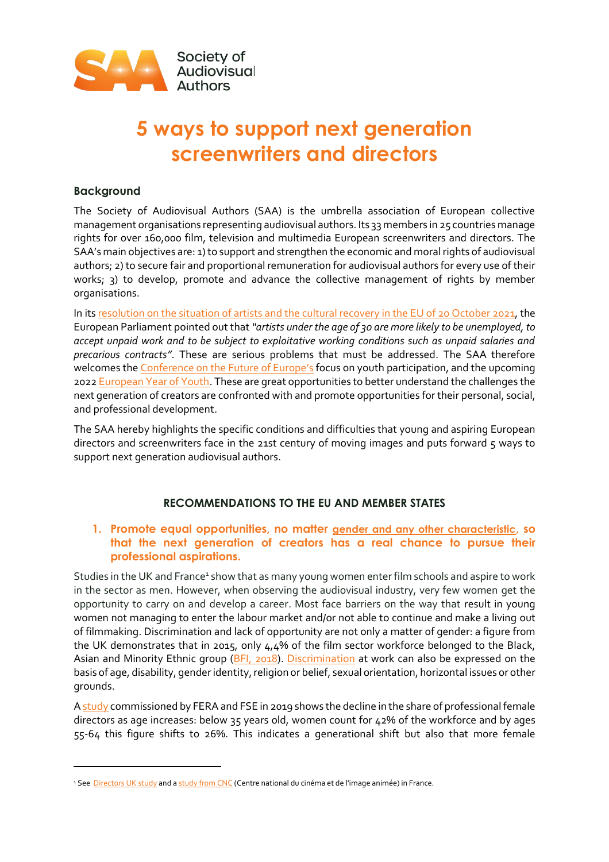

# **5 ways to support next generation screenwriters and directors**

## **Background**

The Society of Audiovisual Authors (SAA) is the umbrella association of European collective management organisations representing audiovisual authors. Its 33 members in 25 countries manage rights for over 160,000 film, television and multimedia European screenwriters and directors. The SAA's main objectives are: 1) to support and strengthen the economic and moral rights of audiovisual authors; 2) to secure fair and proportional remuneration for audiovisual authors for every use of their works; 3) to develop, promote and advance the collective management of rights by member organisations.

In it[s resolution](https://www.europarl.europa.eu/doceo/document/TA-9-2021-0430_EN.pdf) on the situation of artists and the cultural recovery in the EU of 20 October 2021, the European Parliament pointed out that *"artists under the age of 30 are more likely to be unemployed, to accept unpaid work and to be subject to exploitative working conditions such as unpaid salaries and precarious contracts"*. These are serious problems that must be addressed. The SAA therefore welcomes th[e Conference on the Future of Europe](https://futureu.europa.eu/)'s focus on youth participation, and the upcoming 202[2 European Year of Youth.](https://ec.europa.eu/commission/presscorner/detail/en/ip_21_5226) These are great opportunities to better understand the challenges the next generation of creators are confronted with and promote opportunities for their personal, social, and professional development.

The SAA hereby highlights the specific conditions and difficulties that young and aspiring European directors and screenwriters face in the 21st century of moving images and puts forward 5 ways to support next generation audiovisual authors.

#### **RECOMMENDATIONS TO THE EU AND MEMBER STATES**

## **1. Promote equal opportunities, no matter [gender and any other characteristic](https://equineteurope.org/equality-in-europe/), so that the next generation of creators has a real chance to pursue their professional aspirations.**

Studies in the UK and France<sup>1</sup> show that as many young women enter film schools and aspire to work in the sector as men. However, when observing the audiovisual industry, very few women get the opportunity to carry on and develop a career. Most face barriers on the way that result in young women not managing to enter the labour market and/or not able to continue and make a living out of filmmaking. Discrimination and lack of opportunity are not only a matter of gender: a figure from the UK demonstrates that in 2015, only 4,4% of the film sector workforce belonged to the Black, Asian and Minority Ethnic group [\(BFI, 2018\)](https://www2.bfi.org.uk/sites/bfi.org.uk/files/downloads/bfi-workforce-diversity-in-uk-screen-sector-evidence-review-2018-03.pdf). [Discrimination](https://equineteurope.org/equinet-at-a-glance/areas-of-work/) at work can also be expressed on the basis of age, disability, gender identity, religion or belief, sexual orientation, horizontal issues or other grounds.

[A study](https://screendirectors.eu/new-report-first-ever-eu-wide-study-finds-audiovisual-authors-struggling-to-make-ends-meet-and-to-maintain-sustainable-careers/) commissioned by FERA and FSE in 2019 shows the decline in the share of professional female directors as age increases: below 35 years old, women count for 42% of the workforce and by ages 55-64 this figure shifts to 26%. This indicates a generational shift but also that more female

<sup>&</sup>lt;sup>1</sup> See [Directors UK study](https://www.directors.uk.com/news/cut-out-of-the-picture) and a [study from CNC](http://www.cnc.fr/web/en/publications/-/ressources/11334150) (Centre national du cinéma et de l'image animée) in France.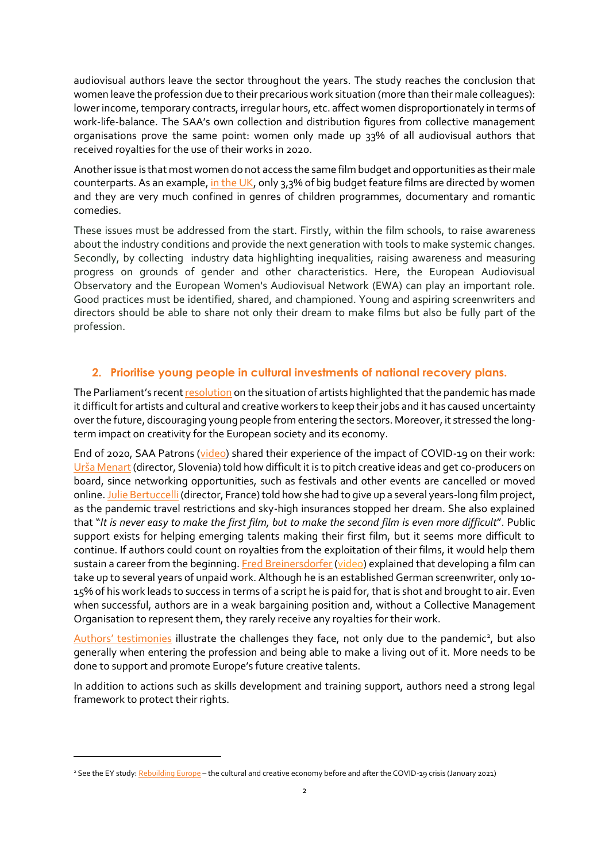audiovisual authors leave the sector throughout the years. The study reaches the conclusion that women leave the profession due to their precarious work situation (more than their male colleagues): lower income, temporary contracts, irregular hours, etc. affect women disproportionately in terms of work-life-balance. The SAA's own collection and distribution figures from collective management organisations prove the same point: women only made up 33% of all audiovisual authors that received royalties for the use of their works in 2020.

Another issue is that most women do not access the same film budget and opportunities as their male counterparts. As an example, [in the UK,](https://directors.uk.com/news/cut-out-of-the-picture) only 3,3% of big budget feature films are directed by women and they are very much confined in genres of children programmes, documentary and romantic comedies.

These issues must be addressed from the start. Firstly, within the film schools, to raise awareness about the industry conditions and provide the next generation with tools to make systemic changes. Secondly, by collecting industry data highlighting inequalities, raising awareness and measuring progress on grounds of gender and other characteristics. Here, the European Audiovisual Observatory and the European Women's Audiovisual Network (EWA) can play an important role. Good practices must be identified, shared, and championed. Young and aspiring screenwriters and directors should be able to share not only their dream to make films but also be fully part of the profession.

#### **2. Prioritise young people in cultural investments of national recovery plans.**

The Parliament's recent [resolution](https://www.europarl.europa.eu/doceo/document/TA-9-2021-0430_EN.pdf) on the situation of artists highlighted that the pandemic has made it difficult for artists and cultural and creative workers to keep their jobs and it has caused uncertainty over the future, discouraging young people from entering the sectors. Moreover, it stressed the longterm impact on creativity for the European society and its economy.

End of 2020, SAA Patrons [\(video\)](https://vimeo.com/482940202) shared their experience of the impact of COVID-19 on their work: [Urša Menart](https://www.saa-authors.eu/en/mosaic/20-board-of-patrons#page-18) (director, Slovenia) told how difficult it is to pitch creative ideas and get co-producers on board, since networking opportunities, such as festivals and other events are cancelled or moved online. Julie Bertuccelli (director, France) told how she had to give up a several years-long film project, as the pandemic travel restrictions and sky-high insurances stopped her dream. She also explained that "*It is never easy to make the first film, but to make the second film is even more difficult*". Public support exists for helping emerging talents making their first film, but it seems more difficult to continue. If authors could count on royalties from the exploitation of their films, it would help them sustain a career from the beginning[. Fred Breinersdorfer](https://www.saa-authors.eu/en/mosaic/20-board-of-patrons#page-5) [\(video\)](https://vimeo.com/555579124) explained that developing a film can take up to several years of unpaid work. Although he is an established German screenwriter, only 10- 15% of his work leads to success in terms of a script he is paid for, that is shot and brought to air. Even when successful, authors are in a weak bargaining position and, without a Collective Management Organisation to represent them, they rarely receive any royalties for their work.

Authors' [testimonies](https://www.saa-authors.eu/en/pages/166-interviews-with-authors#.YaCkD73MI1c) illustrate the challenges they face, not only due to the pandemic<sup>2</sup>, but also generally when entering the profession and being able to make a living out of it. More needs to be done to support and promote Europe's future creative talents.

In addition to actions such as skills development and training support, authors need a strong legal framework to protect their rights.

<sup>&</sup>lt;sup>2</sup> See the EY study[: Rebuilding Europe](https://www.rebuilding-europe.eu/) – the cultural and creative economy before and after the COVID-19 crisis (January 2021)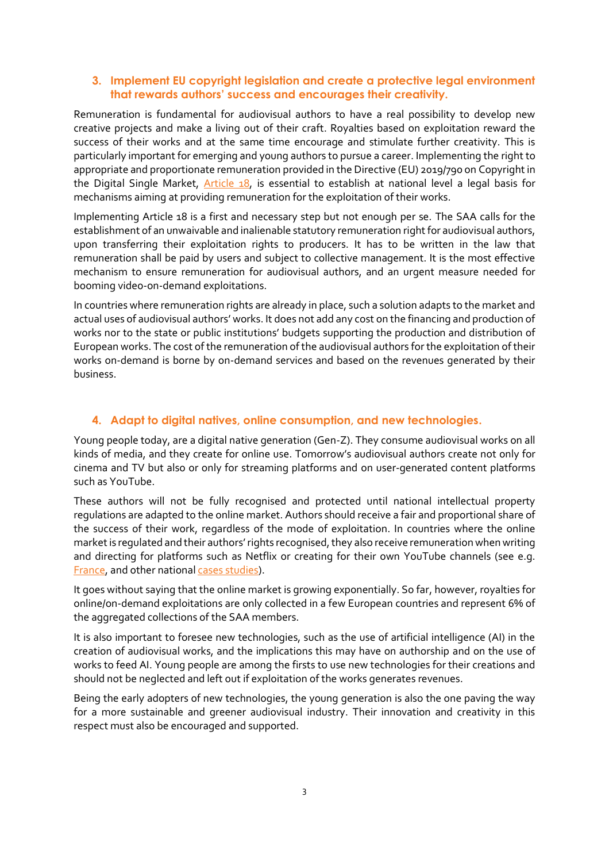#### **3. Implement EU copyright legislation and create a protective legal environment that rewards authors' success and encourages their creativity.**

Remuneration is fundamental for audiovisual authors to have a real possibility to develop new creative projects and make a living out of their craft. Royalties based on exploitation reward the success of their works and at the same time encourage and stimulate further creativity. This is particularly important for emerging and young authors to pursue a career. Implementing the right to appropriate and proportionate remuneration provided in the Directive (EU) 2019/790 on Copyright in the Digital Single Market, [Article 18,](https://www.saa-authors.eu/en/pages/682-implementing-article-18-for-audiovisual-authors#.YYlKwmCZOH9) is essential to establish at national level a legal basis for mechanisms aiming at providing remuneration for the exploitation of their works.

Implementing Article 18 is a first and necessary step but not enough per se. The SAA calls for the establishment of an unwaivable and inalienable statutory remuneration right for audiovisual authors, upon transferring their exploitation rights to producers. It has to be written in the law that remuneration shall be paid by users and subject to collective management. It is the most effective mechanism to ensure remuneration for audiovisual authors, and an urgent measure needed for booming video-on-demand exploitations.

In countries where remuneration rights are already in place, such a solution adapts to the market and actual uses of audiovisual authors' works. It does not add any cost on the financing and production of works nor to the state or public institutions' budgets supporting the production and distribution of European works. The cost of the remuneration of the audiovisual authors for the exploitation of their works on-demand is borne by on-demand services and based on the revenues generated by their business.

## **4. Adapt to digital natives, online consumption, and new technologies.**

Young people today, are a digital native generation (Gen-Z). They consume audiovisual works on all kinds of media, and they create for online use. Tomorrow's audiovisual authors create not only for cinema and TV but also or only for streaming platforms and on user-generated content platforms such as YouTube.

These authors will not be fully recognised and protected until national intellectual property regulations are adapted to the online market. Authors should receive a fair and proportional share of the success of their work, regardless of the mode of exploitation. In countries where the online market is regulated and their authors' rights recognised, they also receive remuneration when writing and directing for platforms such as Netflix or creating for their own YouTube channels (see e.g. [France,](https://sacd.fr/youtube-la-sacd-et-ladagp-renouvellent-leur-accord) and other nationa[l cases studies\)](https://www.saa-authors.eu/en/pages/682-implementing-article-18-for-audiovisual-authors#.YaCk7b3MI1d).

It goes without saying that the online market is growing exponentially. So far, however, royalties for online/on-demand exploitations are only collected in a few European countries and represent 6% of the aggregated collections of the SAA members.

It is also important to foresee new technologies, such as the use of artificial intelligence (AI) in the creation of audiovisual works, and the implications this may have on authorship and on the use of works to feed AI. Young people are among the firsts to use new technologies for their creations and should not be neglected and left out if exploitation of the works generates revenues.

Being the early adopters of new technologies, the young generation is also the one paving the way for a more sustainable and greener audiovisual industry. Their innovation and creativity in this respect must also be encouraged and supported.